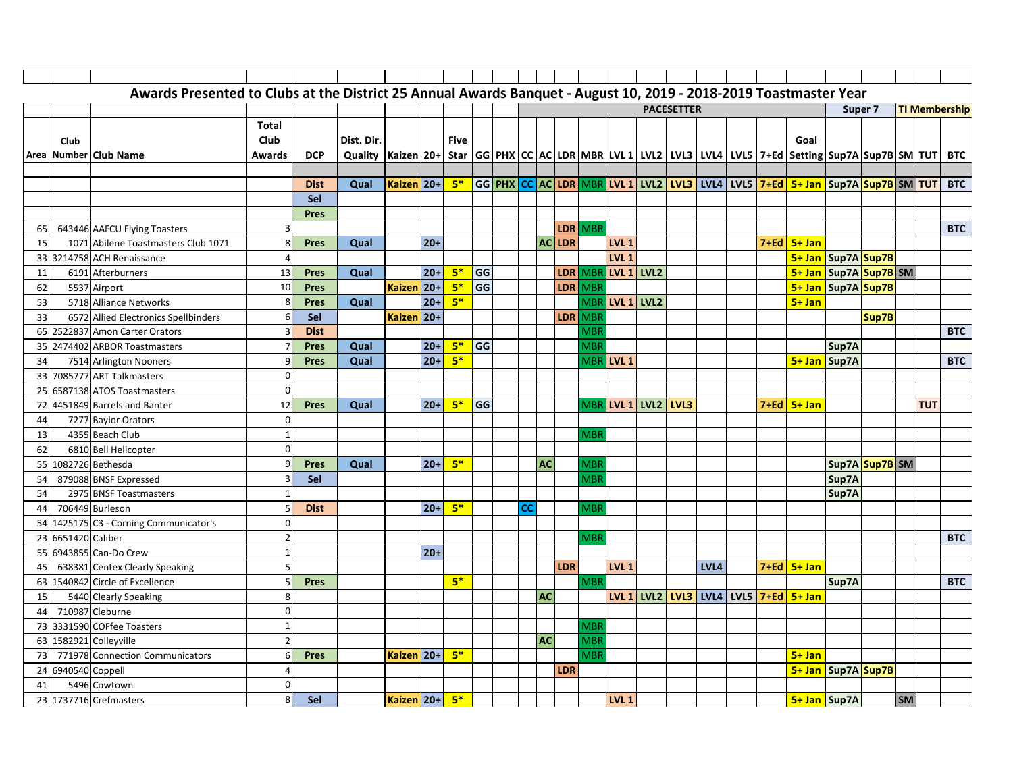|    |                 | Awards Presented to Clubs at the District 25 Annual Awards Banquet - August 10, 2019 - 2018-2019 Toastmaster Year |               |             |                                                                                                                |            |       |             |    |           |               |            |                    |                  |                   |      |  |                                                                                                                                    |              |                    |           |            |                      |
|----|-----------------|-------------------------------------------------------------------------------------------------------------------|---------------|-------------|----------------------------------------------------------------------------------------------------------------|------------|-------|-------------|----|-----------|---------------|------------|--------------------|------------------|-------------------|------|--|------------------------------------------------------------------------------------------------------------------------------------|--------------|--------------------|-----------|------------|----------------------|
|    |                 |                                                                                                                   |               |             |                                                                                                                |            |       |             |    |           |               |            |                    |                  | <b>PACESETTER</b> |      |  |                                                                                                                                    |              | Super <sub>7</sub> |           |            | <b>TI Membership</b> |
|    |                 |                                                                                                                   | Total         |             |                                                                                                                |            |       |             |    |           |               |            |                    |                  |                   |      |  |                                                                                                                                    |              |                    |           |            |                      |
|    | Club            |                                                                                                                   | Club          |             | Dist. Dir.                                                                                                     |            |       | <b>Five</b> |    |           |               |            |                    |                  |                   |      |  | Goal                                                                                                                               |              |                    |           |            |                      |
|    |                 | Area Number Club Name                                                                                             | <b>Awards</b> | <b>DCP</b>  | Quality  Kaizen 20+  Star  GG PHX CC AC LDR MBR LVL 1 LVL2 LVL3 LVL4 LVL5 7+Ed Setting Sup7A Sup7B SM TUT  BTC |            |       |             |    |           |               |            |                    |                  |                   |      |  |                                                                                                                                    |              |                    |           |            |                      |
|    |                 |                                                                                                                   |               |             |                                                                                                                |            |       |             |    |           |               |            |                    |                  |                   |      |  |                                                                                                                                    |              |                    |           |            |                      |
|    |                 |                                                                                                                   |               | <b>Dist</b> | Qual                                                                                                           | Kaizen 20+ |       | $5*$        |    |           |               |            |                    |                  |                   |      |  | GG <mark>PHX CC AC LDR MBR LVL 1 LVL2   LVL3  </mark> LVL4   LVL5 <mark>  7+Ed   5+ Jan  </mark> Sup7A <mark>Sup7B</mark> SM   TUT |              |                    |           |            | <b>BTC</b>           |
|    |                 |                                                                                                                   |               | Sel         |                                                                                                                |            |       |             |    |           |               |            |                    |                  |                   |      |  |                                                                                                                                    |              |                    |           |            |                      |
|    |                 |                                                                                                                   |               | <b>Pres</b> |                                                                                                                |            |       |             |    |           |               |            |                    |                  |                   |      |  |                                                                                                                                    |              |                    |           |            |                      |
| 65 |                 | 643446 AAFCU Flying Toasters                                                                                      |               |             |                                                                                                                |            |       |             |    |           |               | LDR MBR    |                    |                  |                   |      |  |                                                                                                                                    |              |                    |           |            | <b>BTC</b>           |
| 15 |                 | 1071 Abilene Toastmasters Club 1071                                                                               |               | <b>Pres</b> | Qual                                                                                                           |            | $20+$ |             |    |           | <b>AC LDR</b> |            | LVL <sub>1</sub>   |                  |                   |      |  | $7 + Ed$ 5+ Jan                                                                                                                    |              |                    |           |            |                      |
| 33 |                 | 3214758 ACH Renaissance                                                                                           |               |             |                                                                                                                |            |       |             |    |           |               |            | LVL <sub>1</sub>   |                  |                   |      |  | 5+ Jan   Sup7A   Sup7B                                                                                                             |              |                    |           |            |                      |
| 11 |                 | 6191 Afterburners                                                                                                 | 13            | Pres        | Qual                                                                                                           |            | $20+$ | $5*$        | GG |           |               |            | LDR MBR LVL 1 LVL2 |                  |                   |      |  | 5+ Jan Sup7A Sup7B SM                                                                                                              |              |                    |           |            |                      |
| 62 |                 | 5537 Airport                                                                                                      | 10            | <b>Pres</b> |                                                                                                                | Kaizen 20+ |       | $5*$        | GG |           |               | LDR MBR    |                    |                  |                   |      |  | 5+ Jan Sup7A Sup7B                                                                                                                 |              |                    |           |            |                      |
| 53 |                 | 5718 Alliance Networks                                                                                            |               | <b>Pres</b> | Qual                                                                                                           |            | $20+$ | $5*$        |    |           |               |            | MBR LVL 1 LVL2     |                  |                   |      |  | $5 + Jan$                                                                                                                          |              |                    |           |            |                      |
| 33 |                 | 6572 Allied Electronics Spellbinders                                                                              |               | Sel         |                                                                                                                | Kaizen 20+ |       |             |    |           |               | LDR MBR    |                    |                  |                   |      |  |                                                                                                                                    |              | Sup7B              |           |            |                      |
| 65 |                 | 2522837 Amon Carter Orators                                                                                       |               | <b>Dist</b> |                                                                                                                |            |       |             |    |           |               | <b>MBR</b> |                    |                  |                   |      |  |                                                                                                                                    |              |                    |           |            | <b>BTC</b>           |
| 35 |                 | 2474402 ARBOR Toastmasters                                                                                        |               | <b>Pres</b> | Qual                                                                                                           |            | $20+$ | $5*$        | GG |           |               | <b>MBF</b> |                    |                  |                   |      |  |                                                                                                                                    | Sup7A        |                    |           |            |                      |
| 34 |                 | 7514 Arlington Nooners                                                                                            |               | Pres        | Qual                                                                                                           |            | $20+$ | $5*$        |    |           |               |            | MBR LVL 1          |                  |                   |      |  |                                                                                                                                    | 5+ Jan Sup7A |                    |           |            | <b>BTC</b>           |
| 33 |                 | 7085777 ART Talkmasters                                                                                           |               |             |                                                                                                                |            |       |             |    |           |               |            |                    |                  |                   |      |  |                                                                                                                                    |              |                    |           |            |                      |
| 25 |                 | 6587138 ATOS Toastmasters                                                                                         | $\Omega$      |             |                                                                                                                |            |       |             |    |           |               |            |                    |                  |                   |      |  |                                                                                                                                    |              |                    |           |            |                      |
| 72 |                 | 4451849 Barrels and Banter                                                                                        | 12            | Pres        | Qual                                                                                                           |            | $20+$ | $5*$        | GG |           |               |            | MBR LVL 1          | <b>LVL2 LVL3</b> |                   |      |  | $7 + Ed$ 5+ Jan                                                                                                                    |              |                    |           | <b>TUT</b> |                      |
| 44 |                 | 7277 Baylor Orators                                                                                               | $\Omega$      |             |                                                                                                                |            |       |             |    |           |               |            |                    |                  |                   |      |  |                                                                                                                                    |              |                    |           |            |                      |
| 13 |                 | 4355 Beach Club                                                                                                   |               |             |                                                                                                                |            |       |             |    |           |               | <b>MBF</b> |                    |                  |                   |      |  |                                                                                                                                    |              |                    |           |            |                      |
| 62 |                 | 6810 Bell Helicopter                                                                                              | $\Omega$      |             |                                                                                                                |            |       |             |    |           |               |            |                    |                  |                   |      |  |                                                                                                                                    |              |                    |           |            |                      |
| 55 |                 | 1082726 Bethesda                                                                                                  |               | Pres        | Qual                                                                                                           |            | $20+$ | $5*$        |    | <b>AC</b> |               | <b>MBR</b> |                    |                  |                   |      |  |                                                                                                                                    |              | Sup7A Sup7B SM     |           |            |                      |
| 54 |                 | 879088 BNSF Expressed                                                                                             |               | Sel         |                                                                                                                |            |       |             |    |           |               | MBI        |                    |                  |                   |      |  |                                                                                                                                    | Sup7A        |                    |           |            |                      |
| 54 |                 | 2975 BNSF Toastmasters                                                                                            |               |             |                                                                                                                |            |       |             |    |           |               |            |                    |                  |                   |      |  |                                                                                                                                    | Sup7A        |                    |           |            |                      |
| 44 |                 | 706449 Burleson                                                                                                   |               | <b>Dist</b> |                                                                                                                |            | $20+$ | $5*$        |    | CC        |               | <b>MBI</b> |                    |                  |                   |      |  |                                                                                                                                    |              |                    |           |            |                      |
|    |                 | 54 1425175 C3 - Corning Communicator's                                                                            | <sup>0</sup>  |             |                                                                                                                |            |       |             |    |           |               |            |                    |                  |                   |      |  |                                                                                                                                    |              |                    |           |            |                      |
| 23 | 6651420 Caliber |                                                                                                                   |               |             |                                                                                                                |            |       |             |    |           |               | <b>MBR</b> |                    |                  |                   |      |  |                                                                                                                                    |              |                    |           |            | <b>BTC</b>           |
| 55 |                 | 6943855 Can-Do Crew                                                                                               |               |             |                                                                                                                |            | $20+$ |             |    |           |               |            |                    |                  |                   |      |  |                                                                                                                                    |              |                    |           |            |                      |
| 45 |                 | 638381 Centex Clearly Speaking                                                                                    |               |             |                                                                                                                |            |       |             |    |           | <b>LDR</b>    |            | LVL <sub>1</sub>   |                  |                   | LVL4 |  | $7 + Ed$ 5+ Jan                                                                                                                    |              |                    |           |            |                      |
| 63 |                 | 1540842 Circle of Excellence                                                                                      |               | Pres        |                                                                                                                |            |       | $5*$        |    |           |               | <b>MBR</b> |                    |                  |                   |      |  |                                                                                                                                    | Sup7A        |                    |           |            | <b>BTC</b>           |
| 15 |                 | 5440 Clearly Speaking                                                                                             |               |             |                                                                                                                |            |       |             |    | <b>AC</b> |               |            |                    |                  |                   |      |  | LVL 1 LVL2 LVL3 LVL4 LVL5 7+Ed 5+ Jan                                                                                              |              |                    |           |            |                      |
| 44 |                 | 710987 Cleburne                                                                                                   | $\Omega$      |             |                                                                                                                |            |       |             |    |           |               |            |                    |                  |                   |      |  |                                                                                                                                    |              |                    |           |            |                      |
|    |                 | 73 3331590 COFfee Toasters                                                                                        |               |             |                                                                                                                |            |       |             |    |           |               | <b>MBR</b> |                    |                  |                   |      |  |                                                                                                                                    |              |                    |           |            |                      |
| 63 |                 | 1582921 Colleyville                                                                                               |               |             |                                                                                                                |            |       |             |    | <b>AC</b> |               | <b>MBR</b> |                    |                  |                   |      |  |                                                                                                                                    |              |                    |           |            |                      |
| 73 |                 | 771978 Connection Communicators                                                                                   |               | <b>Pres</b> |                                                                                                                | Kaizen 20+ |       | $5*$        |    |           |               | <b>MBR</b> |                    |                  |                   |      |  | $5 + Jan$                                                                                                                          |              |                    |           |            |                      |
| 24 | 6940540 Coppell |                                                                                                                   |               |             |                                                                                                                |            |       |             |    |           | <b>LDR</b>    |            |                    |                  |                   |      |  | 5+ Jan   Sup7A   Sup7B                                                                                                             |              |                    |           |            |                      |
| 41 |                 | 5496 Cowtown                                                                                                      | $\Omega$      |             |                                                                                                                |            |       |             |    |           |               |            |                    |                  |                   |      |  |                                                                                                                                    |              |                    |           |            |                      |
|    |                 | 23 1737716 Crefmasters                                                                                            |               | Sel         |                                                                                                                | Kaizen 20+ |       | $5*$        |    |           |               |            | LVL <sub>1</sub>   |                  |                   |      |  | 5+ Jan Sup7A                                                                                                                       |              |                    | <b>SM</b> |            |                      |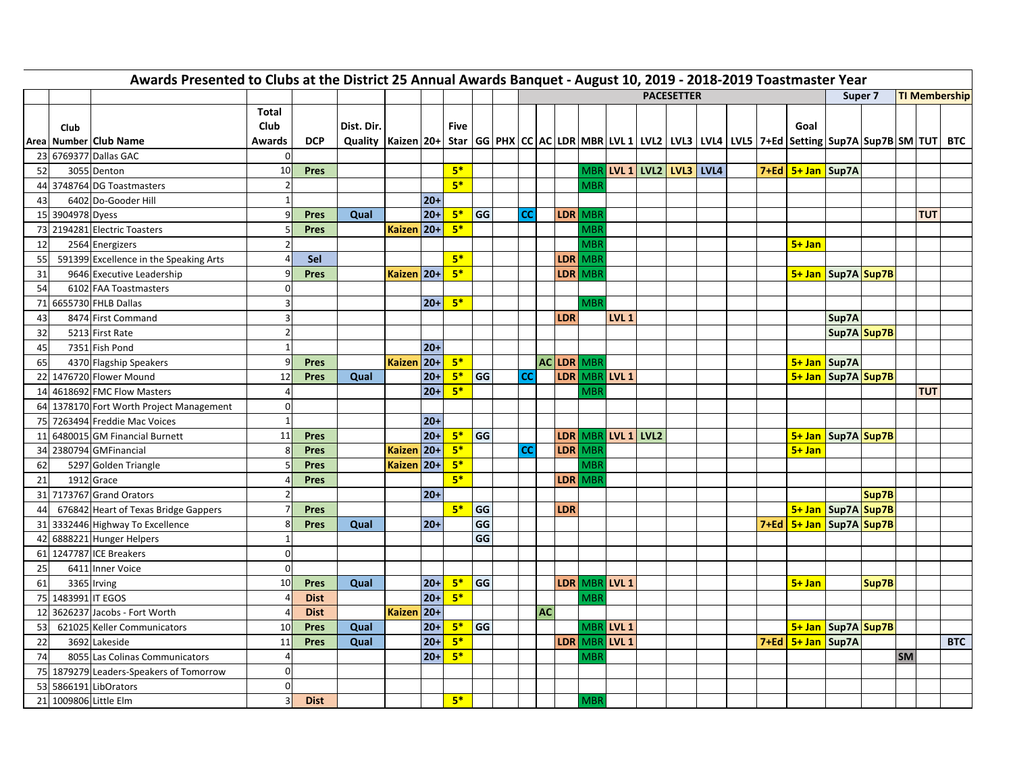| Awards Presented to Clubs at the District 25 Annual Awards Banquet - August 10, 2019 - 2018-2019 Toastmaster Year<br><b>PACESETTER</b><br>Super <sub>7</sub> |                    |                                          |                         |             |                                                                                                                |              |        |              |           |  |      |           |            |            |                            |  |  |                               |                        |       |           |            |                      |
|--------------------------------------------------------------------------------------------------------------------------------------------------------------|--------------------|------------------------------------------|-------------------------|-------------|----------------------------------------------------------------------------------------------------------------|--------------|--------|--------------|-----------|--|------|-----------|------------|------------|----------------------------|--|--|-------------------------------|------------------------|-------|-----------|------------|----------------------|
|                                                                                                                                                              |                    |                                          |                         |             |                                                                                                                |              |        |              |           |  |      |           |            |            |                            |  |  |                               |                        |       |           |            | <b>TI Membership</b> |
|                                                                                                                                                              | Club               |                                          | Total<br><b>Club</b>    |             | Dist. Dir.                                                                                                     |              |        | <b>Five</b>  |           |  |      |           |            |            |                            |  |  | Goal                          |                        |       |           |            |                      |
|                                                                                                                                                              |                    | Areal Number Club Name                   | Awards<br>$\Omega$      | <b>DCP</b>  | Quality  Kaizen 20+  Star  GG PHX CC AC LDR MBR LVL 1 LVL2 LVL3 LVL4 LVL5 7+Ed Setting Sup7A Sup7B SM TUT  BTC |              |        |              |           |  |      |           |            |            |                            |  |  |                               |                        |       |           |            |                      |
|                                                                                                                                                              |                    | 23 6769377 Dallas GAC                    |                         |             |                                                                                                                |              |        |              |           |  |      |           |            |            |                            |  |  |                               |                        |       |           |            |                      |
| 52                                                                                                                                                           |                    | 3055 Denton                              | 10                      | Pres        |                                                                                                                |              |        | $5*$         |           |  |      |           |            |            | $MBR$ LVL 1 LVL2 LVL3 LVL4 |  |  | 7+Ed   5+ Jan   Sup7A         |                        |       |           |            |                      |
|                                                                                                                                                              |                    | 44 3748764 DG Toastmasters               | $\overline{2}$          |             |                                                                                                                |              |        | $5*$         |           |  |      |           |            | MBR        |                            |  |  |                               |                        |       |           |            |                      |
| 43                                                                                                                                                           |                    | 6402 Do-Gooder Hill                      | $\mathbf{1}$            |             |                                                                                                                |              | $20+$  |              |           |  |      |           |            |            |                            |  |  |                               |                        |       |           |            |                      |
|                                                                                                                                                              | 15 3904978 Dyess   |                                          | g                       | <b>Pres</b> | Qual                                                                                                           |              | $20+$  | $5*$<br>$5*$ | <b>GG</b> |  | cc l |           | LDR MBF    |            |                            |  |  |                               |                        |       |           | <b>TUT</b> |                      |
|                                                                                                                                                              |                    | 73 2194281 Electric Toasters             | 5                       | <b>Pres</b> |                                                                                                                | Kaizen 20+   |        |              |           |  |      |           |            | MBR        |                            |  |  |                               |                        |       |           |            |                      |
| 12                                                                                                                                                           |                    | 2564 Energizers                          |                         |             |                                                                                                                |              |        |              |           |  |      |           |            | MBF        |                            |  |  | $5+$ Jan                      |                        |       |           |            |                      |
| 55                                                                                                                                                           |                    | 591399 Excellence in the Speaking Arts   |                         | Sel         |                                                                                                                |              |        | $5*$         |           |  |      |           | LDR MBR    |            |                            |  |  |                               |                        |       |           |            |                      |
| 31                                                                                                                                                           |                    | 9646 Executive Leadership                |                         | <b>Pres</b> |                                                                                                                | Kaizen 20+   |        | $5*$         |           |  |      |           | LDR MBR    |            |                            |  |  |                               | 5+ Jan   Sup7A   Sup7B |       |           |            |                      |
| 54                                                                                                                                                           |                    | 6102 FAA Toastmasters                    | $\Omega$                |             |                                                                                                                |              |        |              |           |  |      |           |            |            |                            |  |  |                               |                        |       |           |            |                      |
|                                                                                                                                                              |                    | 71 6655730 FHLB Dallas                   | 3                       |             |                                                                                                                |              | $20+$  | $5*$         |           |  |      |           |            | <b>MBR</b> |                            |  |  |                               |                        |       |           |            |                      |
| 43                                                                                                                                                           |                    | 8474 First Command                       | $\overline{3}$          |             |                                                                                                                |              |        |              |           |  |      |           | <b>LDR</b> |            | LVL <sub>1</sub>           |  |  |                               | Sup7A                  |       |           |            |                      |
| 32                                                                                                                                                           |                    | 5213 First Rate                          | $\overline{c}$          |             |                                                                                                                |              |        |              |           |  |      |           |            |            |                            |  |  |                               | Sup7A Sup7B            |       |           |            |                      |
| 45                                                                                                                                                           |                    | 7351 Fish Pond                           | $\overline{1}$          |             |                                                                                                                |              | $20+$  |              |           |  |      |           |            |            |                            |  |  |                               |                        |       |           |            |                      |
| 65                                                                                                                                                           |                    | 4370 Flagship Speakers                   | q                       | <b>Pres</b> |                                                                                                                | Kaizen   20+ |        | $5*$         |           |  |      |           | AC LDR MBR |            |                            |  |  | $5+$ Jan Sup7A                |                        |       |           |            |                      |
|                                                                                                                                                              |                    | 22 1476720 Flower Mound                  | 12                      | <b>Pres</b> | Qual                                                                                                           |              | $20+$  | $5*$         | <b>GG</b> |  | cc l |           |            |            | LDR MBR LVL 1              |  |  | 5+ Jan   Sup7A   Sup7B        |                        |       |           |            |                      |
|                                                                                                                                                              |                    | 14 4618692 FMC Flow Masters              | $\overline{\mathbf{r}}$ |             |                                                                                                                |              | $20+$  | $5*$         |           |  |      |           |            | MBR        |                            |  |  |                               |                        |       |           | <b>TUT</b> |                      |
|                                                                                                                                                              |                    | 64 1378170 Fort Worth Project Management | 0                       |             |                                                                                                                |              |        |              |           |  |      |           |            |            |                            |  |  |                               |                        |       |           |            |                      |
|                                                                                                                                                              |                    | 75 7263494 Freddie Mac Voices            | $\overline{1}$          |             |                                                                                                                |              | $20+$  |              |           |  |      |           |            |            |                            |  |  |                               |                        |       |           |            |                      |
|                                                                                                                                                              |                    | 11 6480015 GM Financial Burnett          | 11                      | <b>Pres</b> |                                                                                                                |              | $20+$  | $5*$         | GG        |  |      |           |            |            | LDR MBR LVL 1 LVL2         |  |  |                               | 5+ Jan   Sup7A   Sup7B |       |           |            |                      |
|                                                                                                                                                              |                    | 34 2380794 GMFinancial                   | 8                       | <b>Pres</b> |                                                                                                                | Kaizen 20+   |        | $5*$         |           |  | cc l |           |            | LDR MBR    |                            |  |  | $5 + Jan$                     |                        |       |           |            |                      |
| 62                                                                                                                                                           |                    | 5297 Golden Triangle                     | F                       | <b>Pres</b> |                                                                                                                | Kaizen 20+   |        | $5*$         |           |  |      |           |            | <b>MBR</b> |                            |  |  |                               |                        |       |           |            |                      |
| 21                                                                                                                                                           |                    | 1912 Grace                               |                         | <b>Pres</b> |                                                                                                                |              |        | $5*$         |           |  |      |           | LDR MBR    |            |                            |  |  |                               |                        |       |           |            |                      |
|                                                                                                                                                              |                    | 31 7173767 Grand Orators                 | 2                       |             |                                                                                                                |              | $20+$  |              |           |  |      |           |            |            |                            |  |  |                               |                        | Sup7B |           |            |                      |
| 44                                                                                                                                                           |                    | 676842 Heart of Texas Bridge Gappers     |                         | <b>Pres</b> |                                                                                                                |              |        | $5*$         | GG        |  |      |           | <b>LDR</b> |            |                            |  |  | 5+ Jan   Sup7A   Sup7B        |                        |       |           |            |                      |
|                                                                                                                                                              |                    | 31 3332446 Highway To Excellence         | 8                       | <b>Pres</b> | Qual                                                                                                           |              | $20+$  |              | GG        |  |      |           |            |            |                            |  |  | 7+Ed   5+ Jan   Sup7A   Sup7B |                        |       |           |            |                      |
|                                                                                                                                                              |                    | 42 6888221 Hunger Helpers                | $\overline{1}$          |             |                                                                                                                |              |        |              | GG        |  |      |           |            |            |                            |  |  |                               |                        |       |           |            |                      |
|                                                                                                                                                              |                    | 61 1247787 ICE Breakers                  | $\Omega$                |             |                                                                                                                |              |        |              |           |  |      |           |            |            |                            |  |  |                               |                        |       |           |            |                      |
| 25                                                                                                                                                           |                    | 6411 Inner Voice                         | $\Omega$                |             |                                                                                                                |              |        |              |           |  |      |           |            |            |                            |  |  |                               |                        |       |           |            |                      |
| 61                                                                                                                                                           |                    | 3365 Irving                              | 10                      | Pres        | Qual                                                                                                           |              | $20+$  | $5*$         | GG        |  |      |           |            |            | LDR MBR LVL 1              |  |  | $5 + Jan$                     |                        | Sup7B |           |            |                      |
|                                                                                                                                                              | 75 1483991 IT EGOS |                                          |                         | <b>Dist</b> |                                                                                                                |              | $20+$  | $5*$         |           |  |      |           |            | <b>MBR</b> |                            |  |  |                               |                        |       |           |            |                      |
| 12 <sup>1</sup>                                                                                                                                              |                    | 3626237 Jacobs - Fort Worth              | $\prime$                | <b>Dist</b> |                                                                                                                | Kaizen 20+   |        |              |           |  |      | <b>AC</b> |            |            |                            |  |  |                               |                        |       |           |            |                      |
| 53                                                                                                                                                           |                    | 621025 Keller Communicators              | 10                      | Pres        | Qual                                                                                                           |              | $20 +$ | $5*$         | GG        |  |      |           |            |            | MBR LVL 1                  |  |  | 5+ Jan   Sup7A   Sup7B        |                        |       |           |            |                      |
| 22                                                                                                                                                           |                    | 3692 Lakeside                            | 11                      | <b>Pres</b> | Qual                                                                                                           |              | $20+$  | $5*$         |           |  |      |           |            |            | LDR MBR LVL 1              |  |  | 7+Ed   5+ Jan   Sup7A         |                        |       |           |            | <b>BTC</b>           |
| 74                                                                                                                                                           |                    | 8055 Las Colinas Communicators           |                         |             |                                                                                                                |              | $20+$  | $5*$         |           |  |      |           |            | <b>MBR</b> |                            |  |  |                               |                        |       | <b>SM</b> |            |                      |
|                                                                                                                                                              |                    | 75 1879279 Leaders-Speakers of Tomorrow  | $\Omega$                |             |                                                                                                                |              |        |              |           |  |      |           |            |            |                            |  |  |                               |                        |       |           |            |                      |
|                                                                                                                                                              |                    | 53 5866191 LibOrators                    | $\Omega$                |             |                                                                                                                |              |        |              |           |  |      |           |            |            |                            |  |  |                               |                        |       |           |            |                      |
|                                                                                                                                                              |                    | 21 1009806 Little Elm                    | $\overline{3}$          | <b>Dist</b> |                                                                                                                |              |        | $5*$         |           |  |      |           |            | MBR        |                            |  |  |                               |                        |       |           |            |                      |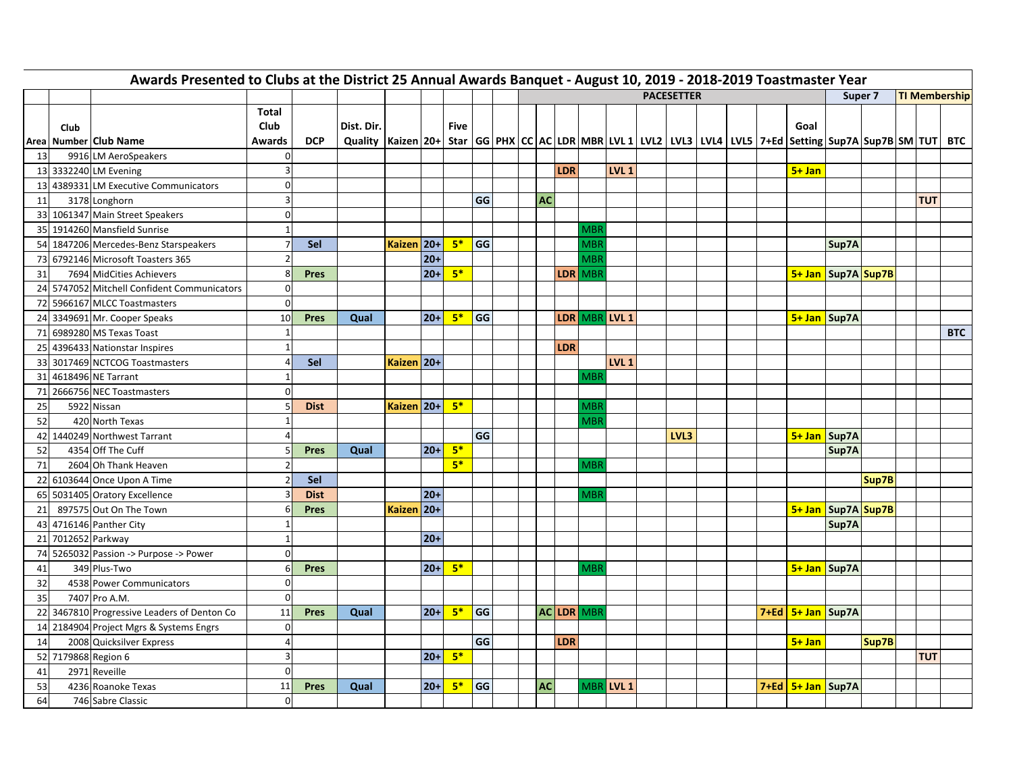|    | Awards Presented to Clubs at the District 25 Annual Awards Banquet - August 10, 2019 - 2018-2019 Toastmaster Year<br><b>PACESETTER</b> |                                             |                                |             |                                                                                                                              |            |       |             |           |  |  |           |            |               |                  |      |  |  |                       |                        |       |                      |  |            |
|----|----------------------------------------------------------------------------------------------------------------------------------------|---------------------------------------------|--------------------------------|-------------|------------------------------------------------------------------------------------------------------------------------------|------------|-------|-------------|-----------|--|--|-----------|------------|---------------|------------------|------|--|--|-----------------------|------------------------|-------|----------------------|--|------------|
|    |                                                                                                                                        |                                             |                                |             |                                                                                                                              |            |       |             |           |  |  |           |            |               |                  |      |  |  |                       | Super 7                |       | <b>TI Membership</b> |  |            |
|    | Club                                                                                                                                   | Area Number Club Name                       | Total<br><b>Club</b><br>Awards | <b>DCP</b>  | Dist. Dir.<br>Quality  Kaizen 20+  Star  GG PHX CC AC LDR MBR LVL 1 LVL2 LVL3 LVL4 LVL5 7+Ed Setting Sup7A Sup7B SM TUT  BTC |            |       | <b>Five</b> |           |  |  |           |            |               |                  |      |  |  | Goal                  |                        |       |                      |  |            |
| 13 |                                                                                                                                        | 9916 LM AeroSpeakers                        | $\mathbf 0$                    |             |                                                                                                                              |            |       |             |           |  |  |           |            |               |                  |      |  |  |                       |                        |       |                      |  |            |
|    |                                                                                                                                        | 13 3332240 LM Evening                       | 3                              |             |                                                                                                                              |            |       |             |           |  |  |           | <b>LDR</b> |               | LVL <sub>1</sub> |      |  |  | $5 + Jan$             |                        |       |                      |  |            |
|    |                                                                                                                                        | 13 4389331 LM Executive Communicators       | $\overline{0}$                 |             |                                                                                                                              |            |       |             |           |  |  |           |            |               |                  |      |  |  |                       |                        |       |                      |  |            |
| 11 |                                                                                                                                        | 3178 Longhorn                               | 3                              |             |                                                                                                                              |            |       |             | GG        |  |  | <b>AC</b> |            |               |                  |      |  |  |                       |                        |       | <b>TUT</b>           |  |            |
|    |                                                                                                                                        | 33 1061347 Main Street Speakers             | $\Omega$                       |             |                                                                                                                              |            |       |             |           |  |  |           |            |               |                  |      |  |  |                       |                        |       |                      |  |            |
|    |                                                                                                                                        | 35 1914260 Mansfield Sunrise                | $\overline{1}$                 |             |                                                                                                                              |            |       |             |           |  |  |           |            | <b>MBF</b>    |                  |      |  |  |                       |                        |       |                      |  |            |
|    |                                                                                                                                        | 54 1847206 Mercedes-Benz Starspeakers       |                                | Sel         |                                                                                                                              | Kaizen 20+ |       | $5*$        | GG        |  |  |           |            | MBI           |                  |      |  |  |                       | Sup7A                  |       |                      |  |            |
|    |                                                                                                                                        | 73 6792146 Microsoft Toasters 365           | $\overline{2}$                 |             |                                                                                                                              |            | $20+$ |             |           |  |  |           |            | MBF           |                  |      |  |  |                       |                        |       |                      |  |            |
| 31 |                                                                                                                                        | 7694 MidCities Achievers                    | 8                              | <b>Pres</b> |                                                                                                                              |            | $20+$ | $5*$        |           |  |  |           | LDR MBF    |               |                  |      |  |  |                       | 5+ Jan   Sup7A   Sup7B |       |                      |  |            |
|    |                                                                                                                                        | 24 5747052 Mitchell Confident Communicators | 0                              |             |                                                                                                                              |            |       |             |           |  |  |           |            |               |                  |      |  |  |                       |                        |       |                      |  |            |
|    |                                                                                                                                        | 72 5966167 MLCC Toastmasters                | $\Omega$                       |             |                                                                                                                              |            |       |             |           |  |  |           |            |               |                  |      |  |  |                       |                        |       |                      |  |            |
|    |                                                                                                                                        | 24 3349691 Mr. Cooper Speaks                | 10                             | <b>Pres</b> | Qual                                                                                                                         |            | $20+$ | $5*$        | <b>GG</b> |  |  |           |            | LDR MBR LVL 1 |                  |      |  |  | 5+ Jan Sup7A          |                        |       |                      |  |            |
|    |                                                                                                                                        | 71 6989280 MS Texas Toast                   | $\overline{\mathbf{1}}$        |             |                                                                                                                              |            |       |             |           |  |  |           |            |               |                  |      |  |  |                       |                        |       |                      |  | <b>BTC</b> |
|    |                                                                                                                                        | 25 4396433 Nationstar Inspires              | $\overline{1}$                 |             |                                                                                                                              |            |       |             |           |  |  |           | LDR        |               |                  |      |  |  |                       |                        |       |                      |  |            |
|    |                                                                                                                                        | 33 3017469 NCTCOG Toastmasters              | $\epsilon$                     | Sel         |                                                                                                                              | Kaizen 20+ |       |             |           |  |  |           |            |               | LVL <sub>1</sub> |      |  |  |                       |                        |       |                      |  |            |
|    |                                                                                                                                        | 31 4618496 NE Tarrant                       | $\overline{1}$                 |             |                                                                                                                              |            |       |             |           |  |  |           |            | MBI           |                  |      |  |  |                       |                        |       |                      |  |            |
|    |                                                                                                                                        | 71 2666756 NEC Toastmasters                 | $\Omega$                       |             |                                                                                                                              |            |       |             |           |  |  |           |            |               |                  |      |  |  |                       |                        |       |                      |  |            |
| 25 |                                                                                                                                        | 5922 Nissan                                 | E                              | <b>Dist</b> |                                                                                                                              | Kaizen 20+ |       | $-5*$       |           |  |  |           |            | MBI           |                  |      |  |  |                       |                        |       |                      |  |            |
| 52 |                                                                                                                                        | 420 North Texas                             | $\overline{1}$                 |             |                                                                                                                              |            |       |             |           |  |  |           |            | MBR           |                  |      |  |  |                       |                        |       |                      |  |            |
|    |                                                                                                                                        | 42 1440249 Northwest Tarrant                |                                |             |                                                                                                                              |            |       |             | GG        |  |  |           |            |               |                  | LVL3 |  |  | 5+ Jan Sup7A          |                        |       |                      |  |            |
| 52 |                                                                                                                                        | 4354 Off The Cuff                           |                                | <b>Pres</b> | Qual                                                                                                                         |            | $20+$ | $5*$        |           |  |  |           |            |               |                  |      |  |  |                       | Sup7A                  |       |                      |  |            |
| 71 |                                                                                                                                        | 2604 Oh Thank Heaven                        | 2                              |             |                                                                                                                              |            |       | $5*$        |           |  |  |           |            | <b>MBR</b>    |                  |      |  |  |                       |                        |       |                      |  |            |
|    |                                                                                                                                        | 22 6103644 Once Upon A Time                 |                                | Sel         |                                                                                                                              |            |       |             |           |  |  |           |            |               |                  |      |  |  |                       |                        | Sup7B |                      |  |            |
| 65 |                                                                                                                                        | 5031405 Oratory Excellence                  | p                              | <b>Dist</b> |                                                                                                                              |            | $20+$ |             |           |  |  |           |            | <b>MBF</b>    |                  |      |  |  |                       |                        |       |                      |  |            |
| 21 |                                                                                                                                        | 897575 Out On The Town                      | 6                              | <b>Pres</b> |                                                                                                                              | Kaizen 20+ |       |             |           |  |  |           |            |               |                  |      |  |  |                       | 5+ Jan Sup7A Sup7B     |       |                      |  |            |
|    |                                                                                                                                        | 43 4716146 Panther City                     | $\overline{1}$                 |             |                                                                                                                              |            |       |             |           |  |  |           |            |               |                  |      |  |  |                       | Sup7A                  |       |                      |  |            |
|    | 21 7012652 Parkway                                                                                                                     |                                             | $\mathbf{1}$                   |             |                                                                                                                              |            | $20+$ |             |           |  |  |           |            |               |                  |      |  |  |                       |                        |       |                      |  |            |
|    |                                                                                                                                        | 74 5265032 Passion -> Purpose -> Power      | $\Omega$                       |             |                                                                                                                              |            |       |             |           |  |  |           |            |               |                  |      |  |  |                       |                        |       |                      |  |            |
| 41 |                                                                                                                                        | 349 Plus-Two                                | 6                              | <b>Pres</b> |                                                                                                                              |            | $20+$ | $5*$        |           |  |  |           |            | <b>MBF</b>    |                  |      |  |  |                       | 5+ Jan Sup7A           |       |                      |  |            |
| 32 |                                                                                                                                        | 4538 Power Communicators                    | 0                              |             |                                                                                                                              |            |       |             |           |  |  |           |            |               |                  |      |  |  |                       |                        |       |                      |  |            |
| 35 |                                                                                                                                        | 7407 Pro A.M.                               | $\Omega$                       |             |                                                                                                                              |            |       |             |           |  |  |           |            |               |                  |      |  |  |                       |                        |       |                      |  |            |
| 22 |                                                                                                                                        | 3467810 Progressive Leaders of Denton Co    | 11                             | <b>Pres</b> | Qual                                                                                                                         |            | $20+$ | $5*$        | GG        |  |  |           | AC LDR MBF |               |                  |      |  |  | 7+Ed   5+ Jan   Sup7A |                        |       |                      |  |            |
|    |                                                                                                                                        | 14 2184904 Project Mgrs & Systems Engrs     | $\mathbf 0$                    |             |                                                                                                                              |            |       |             |           |  |  |           |            |               |                  |      |  |  |                       |                        |       |                      |  |            |
| 14 |                                                                                                                                        | 2008 Quicksilver Express                    | $\Delta$                       |             |                                                                                                                              |            |       |             | GG        |  |  |           | LDR        |               |                  |      |  |  | $5 + Jan$             |                        | Sup7B |                      |  |            |
|    | 52 7179868 Region 6                                                                                                                    |                                             | 3                              |             |                                                                                                                              |            | $20+$ | $5*$        |           |  |  |           |            |               |                  |      |  |  |                       |                        |       | <b>TUT</b>           |  |            |
| 41 |                                                                                                                                        | 2971 Reveille                               | $\Omega$                       |             |                                                                                                                              |            |       |             |           |  |  |           |            |               |                  |      |  |  |                       |                        |       |                      |  |            |
| 53 |                                                                                                                                        | 4236 Roanoke Texas                          | 11                             | <b>Pres</b> | Qual                                                                                                                         |            | $20+$ | $5*$        | GG        |  |  | <b>AC</b> |            |               | MBR LVL 1        |      |  |  | 7+Ed   5+ Jan   Sup7A |                        |       |                      |  |            |
| 64 |                                                                                                                                        | 746 Sabre Classic                           | $\Omega$                       |             |                                                                                                                              |            |       |             |           |  |  |           |            |               |                  |      |  |  |                       |                        |       |                      |  |            |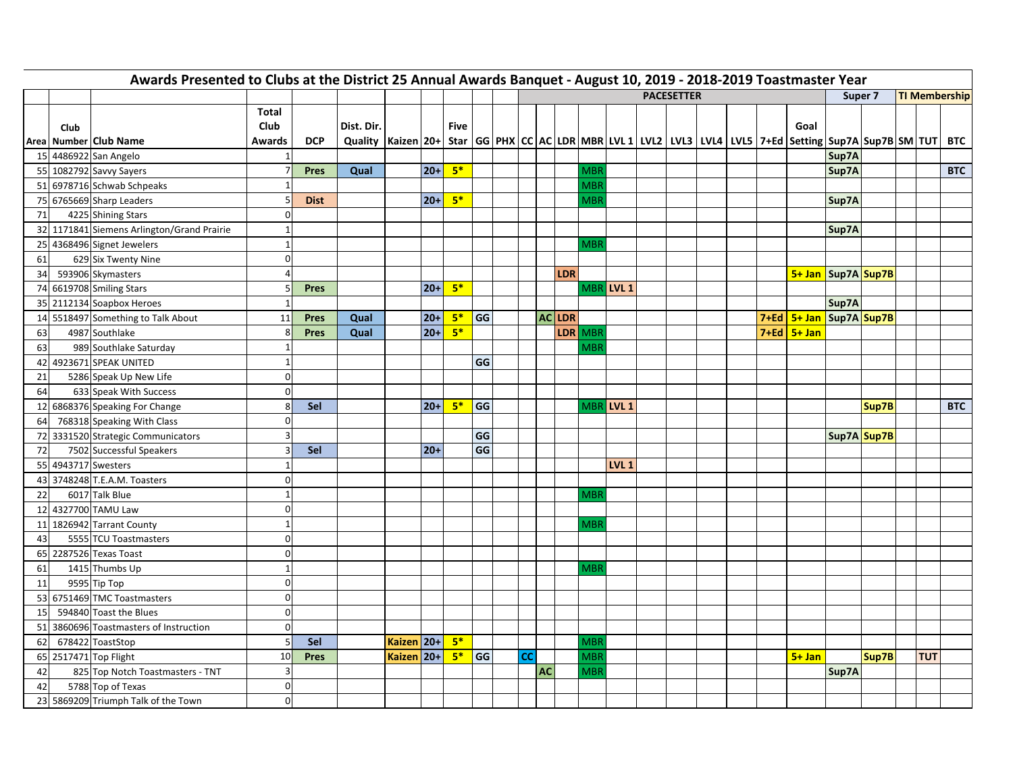| Awards Presented to Clubs at the District 25 Annual Awards Banquet - August 10, 2019 - 2018-2019 Toastmaster Year<br><b>PACESETTER</b><br><b>TI Membership</b><br>Super 7 |      |                                            |                         |             |                                                                                                                              |            |       |             |    |  |           |    |               |            |                  |  |  |  |                               |             |       |  |            |            |
|---------------------------------------------------------------------------------------------------------------------------------------------------------------------------|------|--------------------------------------------|-------------------------|-------------|------------------------------------------------------------------------------------------------------------------------------|------------|-------|-------------|----|--|-----------|----|---------------|------------|------------------|--|--|--|-------------------------------|-------------|-------|--|------------|------------|
|                                                                                                                                                                           |      |                                            |                         |             |                                                                                                                              |            |       |             |    |  |           |    |               |            |                  |  |  |  |                               |             |       |  |            |            |
|                                                                                                                                                                           | Club | Area Number Club Name                      | Total<br>Club<br>Awards | <b>DCP</b>  | Dist. Dir.<br>Quality  Kaizen 20+  Star  GG PHX CC AC LDR MBR LVL 1 LVL2 LVL3 LVL4 LVL5 7+Ed Setting Sup7A Sup7B SM TUT  BTC |            |       | <b>Five</b> |    |  |           |    |               |            |                  |  |  |  | Goal                          |             |       |  |            |            |
|                                                                                                                                                                           |      | 15 4486922 San Angelo                      | $\overline{1}$          |             |                                                                                                                              |            |       |             |    |  |           |    |               |            |                  |  |  |  |                               | Sup7A       |       |  |            |            |
|                                                                                                                                                                           |      | 55 1082792 Savvy Sayers                    |                         | Pres        | Qual                                                                                                                         |            | $20+$ | $5*$        |    |  |           |    |               | <b>MBR</b> |                  |  |  |  |                               | Sup7A       |       |  |            | <b>BTC</b> |
|                                                                                                                                                                           |      | 51 6978716 Schwab Schpeaks                 | $\overline{1}$          |             |                                                                                                                              |            |       |             |    |  |           |    |               | <b>MBR</b> |                  |  |  |  |                               |             |       |  |            |            |
|                                                                                                                                                                           |      | 75 6765669 Sharp Leaders                   | $\overline{5}$          | <b>Dist</b> |                                                                                                                              |            | $20+$ | $5*$        |    |  |           |    |               | <b>MBF</b> |                  |  |  |  |                               | Sup7A       |       |  |            |            |
| 71                                                                                                                                                                        |      | 4225 Shining Stars                         | 0                       |             |                                                                                                                              |            |       |             |    |  |           |    |               |            |                  |  |  |  |                               |             |       |  |            |            |
|                                                                                                                                                                           |      | 32 1171841 Siemens Arlington/Grand Prairie | $\overline{1}$          |             |                                                                                                                              |            |       |             |    |  |           |    |               |            |                  |  |  |  |                               | Sup7A       |       |  |            |            |
|                                                                                                                                                                           |      | 25 4368496 Signet Jewelers                 | $\overline{1}$          |             |                                                                                                                              |            |       |             |    |  |           |    |               | <b>MBF</b> |                  |  |  |  |                               |             |       |  |            |            |
| 61                                                                                                                                                                        |      | 629 Six Twenty Nine                        | $\Omega$                |             |                                                                                                                              |            |       |             |    |  |           |    |               |            |                  |  |  |  |                               |             |       |  |            |            |
| 34                                                                                                                                                                        |      | 593906 Skymasters                          |                         |             |                                                                                                                              |            |       |             |    |  |           |    | LDR           |            |                  |  |  |  | 5+ Jan   Sup7A   Sup7B        |             |       |  |            |            |
|                                                                                                                                                                           |      | 74 6619708 Smiling Stars                   | F                       | <b>Pres</b> |                                                                                                                              |            | $20+$ | $5*$        |    |  |           |    |               |            | MBR LVL 1        |  |  |  |                               |             |       |  |            |            |
|                                                                                                                                                                           |      | 35 2112134 Soapbox Heroes                  | $\overline{1}$          |             |                                                                                                                              |            |       |             |    |  |           |    |               |            |                  |  |  |  |                               | Sup7A       |       |  |            |            |
|                                                                                                                                                                           |      | 14 5518497 Something to Talk About         | 11                      | <b>Pres</b> | Qual                                                                                                                         |            | $20+$ | $5*$        | GG |  |           |    | <b>AC LDR</b> |            |                  |  |  |  | 7+Ed   5+ Jan   Sup7A   Sup7B |             |       |  |            |            |
| 63                                                                                                                                                                        |      | 4987 Southlake                             | 8                       | <b>Pres</b> | Qual                                                                                                                         |            | $20+$ | $5*$        |    |  |           |    |               | LDR MBR    |                  |  |  |  | 7+Ed 5+ Jan                   |             |       |  |            |            |
| 63                                                                                                                                                                        |      | 989 Southlake Saturday                     | $\mathbf{1}$            |             |                                                                                                                              |            |       |             |    |  |           |    |               | <b>MBR</b> |                  |  |  |  |                               |             |       |  |            |            |
|                                                                                                                                                                           |      | 42 4923671 SPEAK UNITED                    | $\mathbf{1}$            |             |                                                                                                                              |            |       |             | GG |  |           |    |               |            |                  |  |  |  |                               |             |       |  |            |            |
| 21                                                                                                                                                                        |      | 5286 Speak Up New Life                     | $\Omega$                |             |                                                                                                                              |            |       |             |    |  |           |    |               |            |                  |  |  |  |                               |             |       |  |            |            |
| 64                                                                                                                                                                        |      | 633 Speak With Success                     | $\Omega$                |             |                                                                                                                              |            |       |             |    |  |           |    |               |            |                  |  |  |  |                               |             |       |  |            |            |
|                                                                                                                                                                           |      | 12 6868376 Speaking For Change             | 8                       | Sel         |                                                                                                                              |            | $20+$ | $5*$        | GG |  |           |    |               |            | MBR LVL 1        |  |  |  |                               |             | Sup7B |  |            | <b>BTC</b> |
| 64                                                                                                                                                                        |      | 768318 Speaking With Class                 | $\Omega$                |             |                                                                                                                              |            |       |             |    |  |           |    |               |            |                  |  |  |  |                               |             |       |  |            |            |
|                                                                                                                                                                           |      | 72 3331520 Strategic Communicators         | 3                       |             |                                                                                                                              |            |       |             | GG |  |           |    |               |            |                  |  |  |  |                               | Sup7A Sup7B |       |  |            |            |
| 72                                                                                                                                                                        |      | 7502 Successful Speakers                   | 3                       | Sel         |                                                                                                                              |            | $20+$ |             | GG |  |           |    |               |            |                  |  |  |  |                               |             |       |  |            |            |
|                                                                                                                                                                           |      | 55 4943717 Swesters                        | $\mathbf{1}$            |             |                                                                                                                              |            |       |             |    |  |           |    |               |            | LVL <sub>1</sub> |  |  |  |                               |             |       |  |            |            |
|                                                                                                                                                                           |      | 43 3748248 T.E.A.M. Toasters               | $\mathbf 0$             |             |                                                                                                                              |            |       |             |    |  |           |    |               |            |                  |  |  |  |                               |             |       |  |            |            |
| 22                                                                                                                                                                        |      | 6017 Talk Blue                             | $\overline{1}$          |             |                                                                                                                              |            |       |             |    |  |           |    |               | <b>MBF</b> |                  |  |  |  |                               |             |       |  |            |            |
|                                                                                                                                                                           |      | 12 4327700 TAMU Law                        | $\Omega$                |             |                                                                                                                              |            |       |             |    |  |           |    |               |            |                  |  |  |  |                               |             |       |  |            |            |
|                                                                                                                                                                           |      | 11 1826942 Tarrant County                  | $\mathbf{1}$            |             |                                                                                                                              |            |       |             |    |  |           |    |               | MBF        |                  |  |  |  |                               |             |       |  |            |            |
| 43                                                                                                                                                                        |      | 5555 TCU Toastmasters                      | $\Omega$                |             |                                                                                                                              |            |       |             |    |  |           |    |               |            |                  |  |  |  |                               |             |       |  |            |            |
|                                                                                                                                                                           |      | 65 2287526 Texas Toast                     | $\Omega$                |             |                                                                                                                              |            |       |             |    |  |           |    |               |            |                  |  |  |  |                               |             |       |  |            |            |
| 61                                                                                                                                                                        |      | 1415 Thumbs Up                             | $\overline{1}$          |             |                                                                                                                              |            |       |             |    |  |           |    |               | MBF        |                  |  |  |  |                               |             |       |  |            |            |
| 11                                                                                                                                                                        |      | 9595 Tip Top                               | $\mathbf 0$             |             |                                                                                                                              |            |       |             |    |  |           |    |               |            |                  |  |  |  |                               |             |       |  |            |            |
|                                                                                                                                                                           |      | 53 6751469 TMC Toastmasters                | $\Omega$                |             |                                                                                                                              |            |       |             |    |  |           |    |               |            |                  |  |  |  |                               |             |       |  |            |            |
| 15                                                                                                                                                                        |      | 594840 Toast the Blues                     | $\mathbf 0$             |             |                                                                                                                              |            |       |             |    |  |           |    |               |            |                  |  |  |  |                               |             |       |  |            |            |
|                                                                                                                                                                           |      | 51 3860696 Toastmasters of Instruction     | $\Omega$                |             |                                                                                                                              |            |       |             |    |  |           |    |               |            |                  |  |  |  |                               |             |       |  |            |            |
| 62                                                                                                                                                                        |      | 678422 ToastStop                           | 5                       | Sel         |                                                                                                                              | Kaizen 20+ |       | $5*$        |    |  |           |    |               | MBR        |                  |  |  |  |                               |             |       |  |            |            |
|                                                                                                                                                                           |      | 65 2517471 Top Flight                      | 10                      | <b>Pres</b> |                                                                                                                              | Kaizen 20+ |       | $5*$        | GG |  | <b>CC</b> |    |               | MBR        |                  |  |  |  | $5 + Jan$                     |             | Sup7B |  | <b>TUT</b> |            |
| 42                                                                                                                                                                        |      | 825 Top Notch Toastmasters - TNT           | $\overline{3}$          |             |                                                                                                                              |            |       |             |    |  |           | AC |               | <b>MBR</b> |                  |  |  |  |                               | Sup7A       |       |  |            |            |
| 42                                                                                                                                                                        |      | 5788 Top of Texas                          | $\mathbf 0$             |             |                                                                                                                              |            |       |             |    |  |           |    |               |            |                  |  |  |  |                               |             |       |  |            |            |
|                                                                                                                                                                           |      | 23 5869209 Triumph Talk of the Town        | $\Omega$                |             |                                                                                                                              |            |       |             |    |  |           |    |               |            |                  |  |  |  |                               |             |       |  |            |            |